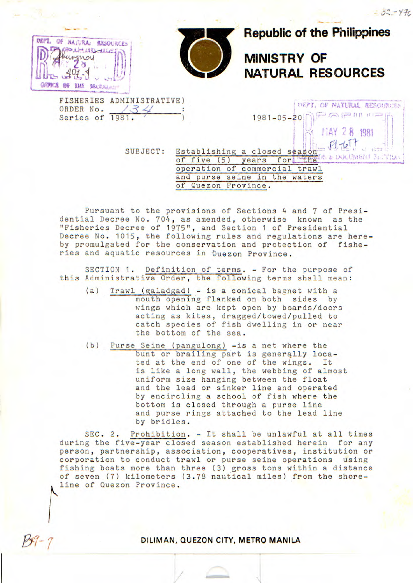



## **Republic of the Philippines**

**MINISTRY OF NATURAL RESOURCES** 

**tAY 2 8 1981** 

 $\eta \mapsto \eta$ 

FISHERIES ADMINISTRATIVE) STORE AND STORE OF NATURAL RESOURCES ORDER No. Series of 1981. (a) 1981-05-20<sup>1</sup>

> SUBJECT: Establishing a closed season  $\frac{1}{2}$  below that is then of five  $(5)$  years for the

| operation of commercial trawl |  |  |  |
|-------------------------------|--|--|--|
| and purse seine in the waters |  |  |  |
| of Quezon Province.           |  |  |  |

Pursuant to the provisions of Sections 4 and 7 of Presidential Decree No. 704, as amended, otherwise known as the "Fisheries Decree of 1975", and Section 1 of Presidential Decree No. 1015, the following rules and regulations are hereby promulgated for the conservation and protection of fisheries and aquatic resources in Ouezon Province.

SECTION 1. Definition of terms. - For the purpose of this Administrative Order, the following terms shall mean:

- (a) Trawl (galadgad) is a conical bagnet with a mouth opening flanked on both sides by wings which are kept open by boards/doors acting as kites, dragged/towed/pulled to catch species of fish dwelling in or near the bottom of the sea.
- (b) Purse Seine (pangulong) -is a net where the bunt or brailing part is generally located at the end of one of the wings. It is like a long wall, the webbing of almost uniform size hanging between the float and the lead or sinker line and operated by encircling a school of fish where the bottom is closed through a purse line and purse rings attached to the lead line by bridles.

SEC. 2. Prohibition. - It shall be unlawful at all times during the five-year closed season established herein for any person, partnership, association, cooperatives, institution or corporation to conduct trawl or purse seine operations using fishing boats more than three (3) gross tons within a distance of seven (7) kilometers (3.78 nautical miles) from the shoreline of Quezon Province.

51 7' **DILIMAN, QUEZON CITY, METRO MANILA**